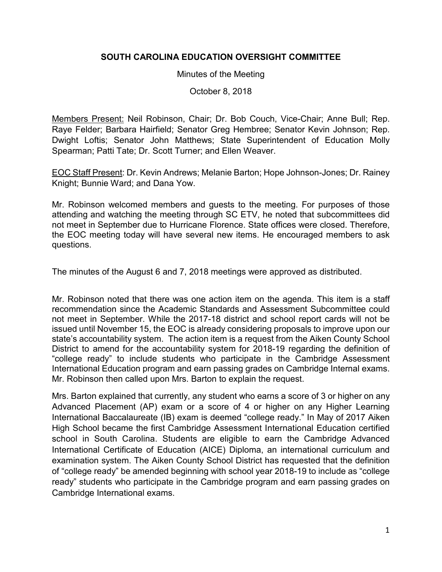## **SOUTH CAROLINA EDUCATION OVERSIGHT COMMITTEE**

Minutes of the Meeting

October 8, 2018

Members Present: Neil Robinson, Chair; Dr. Bob Couch, Vice-Chair; Anne Bull; Rep. Raye Felder; Barbara Hairfield; Senator Greg Hembree; Senator Kevin Johnson; Rep. Dwight Loftis; Senator John Matthews; State Superintendent of Education Molly Spearman; Patti Tate; Dr. Scott Turner; and Ellen Weaver.

EOC Staff Present: Dr. Kevin Andrews; Melanie Barton; Hope Johnson-Jones; Dr. Rainey Knight; Bunnie Ward; and Dana Yow.

Mr. Robinson welcomed members and guests to the meeting. For purposes of those attending and watching the meeting through SC ETV, he noted that subcommittees did not meet in September due to Hurricane Florence. State offices were closed. Therefore, the EOC meeting today will have several new items. He encouraged members to ask questions.

The minutes of the August 6 and 7, 2018 meetings were approved as distributed.

Mr. Robinson noted that there was one action item on the agenda. This item is a staff recommendation since the Academic Standards and Assessment Subcommittee could not meet in September. While the 2017-18 district and school report cards will not be issued until November 15, the EOC is already considering proposals to improve upon our state's accountability system. The action item is a request from the Aiken County School District to amend for the accountability system for 2018-19 regarding the definition of "college ready" to include students who participate in the Cambridge Assessment International Education program and earn passing grades on Cambridge Internal exams. Mr. Robinson then called upon Mrs. Barton to explain the request.

Mrs. Barton explained that currently, any student who earns a score of 3 or higher on any Advanced Placement (AP) exam or a score of 4 or higher on any Higher Learning International Baccalaureate (IB) exam is deemed "college ready." In May of 2017 Aiken High School became the first Cambridge Assessment International Education certified school in South Carolina. Students are eligible to earn the Cambridge Advanced International Certificate of Education (AICE) Diploma, an international curriculum and examination system. The Aiken County School District has requested that the definition of "college ready" be amended beginning with school year 2018-19 to include as "college ready" students who participate in the Cambridge program and earn passing grades on Cambridge International exams.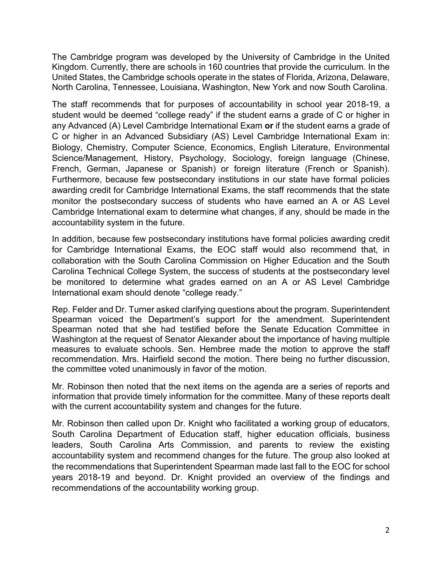The Cambridge program was developed by the University of Cambridge in the United Kingdom. Currently, there are schools in 160 countries that provide the curriculum. In the United States, the Cambridge schools operate in the states of Florida, Arizona, Delaware, North Carolina, Tennessee, Louisiana, Washington, New York and now South Carolina.

The staff recommends that for purposes of accountability in school year 2018-19, a student would be deemed "college ready" if the student earns a grade of C or higher in any Advanced (A) Level Cambridge International Exam **or** if the student earns a grade of C or higher in an Advanced Subsidiary (AS) Level Cambridge International Exam in: Biology, Chemistry, Computer Science, Economics, English Literature, Environmental Science/Management, History, Psychology, Sociology, foreign language (Chinese, French, German, Japanese or Spanish) or foreign literature (French or Spanish). Furthermore, because few postsecondary institutions in our state have formal policies awarding credit for Cambridge International Exams, the staff recommends that the state monitor the postsecondary success of students who have earned an A or AS Level Cambridge International exam to determine what changes, if any, should be made in the accountability system in the future.

In addition, because few postsecondary institutions have formal policies awarding credit for Cambridge International Exams, the EOC staff would also recommend that, in collaboration with the South Carolina Commission on Higher Education and the South Carolina Technical College System, the success of students at the postsecondary level be monitored to determine what grades earned on an A or AS Level Cambridge International exam should denote "college ready."

Rep. Felder and Dr. Turner asked clarifying questions about the program. Superintendent Spearman voiced the Department's support for the amendment. Superintendent Spearman noted that she had testified before the Senate Education Committee in Washington at the request of Senator Alexander about the importance of having multiple measures to evaluate schools. Sen. Hembree made the motion to approve the staff recommendation. Mrs. Hairfield second the motion. There being no further discussion, the committee voted unanimously in favor of the motion.

Mr. Robinson then noted that the next items on the agenda are a series of reports and information that provide timely information for the committee. Many of these reports dealt with the current accountability system and changes for the future.

Mr. Robinson then called upon Dr. Knight who facilitated a working group of educators, South Carolina Department of Education staff, higher education officials, business leaders, South Carolina Arts Commission, and parents to review the existing accountability system and recommend changes for the future. The group also looked at the recommendations that Superintendent Spearman made last fall to the EOC for school years 2018-19 and beyond. Dr. Knight provided an overview of the findings and recommendations of the accountability working group.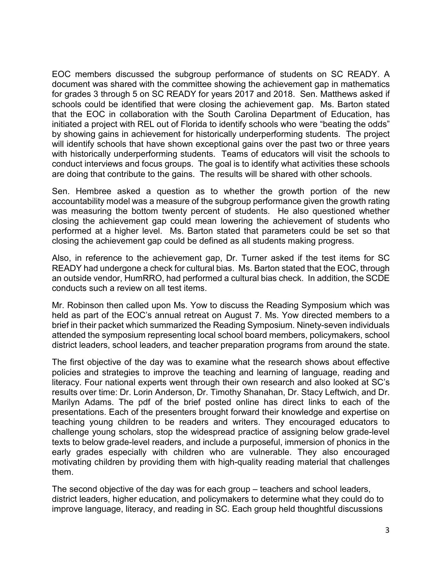EOC members discussed the subgroup performance of students on SC READY. A document was shared with the committee showing the achievement gap in mathematics for grades 3 through 5 on SC READY for years 2017 and 2018. Sen. Matthews asked if schools could be identified that were closing the achievement gap. Ms. Barton stated that the EOC in collaboration with the South Carolina Department of Education, has initiated a project with REL out of Florida to identify schools who were "beating the odds" by showing gains in achievement for historically underperforming students. The project will identify schools that have shown exceptional gains over the past two or three years with historically underperforming students. Teams of educators will visit the schools to conduct interviews and focus groups. The goal is to identify what activities these schools are doing that contribute to the gains. The results will be shared with other schools.

Sen. Hembree asked a question as to whether the growth portion of the new accountability model was a measure of the subgroup performance given the growth rating was measuring the bottom twenty percent of students. He also questioned whether closing the achievement gap could mean lowering the achievement of students who performed at a higher level. Ms. Barton stated that parameters could be set so that closing the achievement gap could be defined as all students making progress.

Also, in reference to the achievement gap, Dr. Turner asked if the test items for SC READY had undergone a check for cultural bias. Ms. Barton stated that the EOC, through an outside vendor, HumRRO, had performed a cultural bias check. In addition, the SCDE conducts such a review on all test items.

Mr. Robinson then called upon Ms. Yow to discuss the Reading Symposium which was held as part of the EOC's annual retreat on August 7. Ms. Yow directed members to a brief in their packet which summarized the Reading Symposium. Ninety-seven individuals attended the symposium representing local school board members, policymakers, school district leaders, school leaders, and teacher preparation programs from around the state.

The first objective of the day was to examine what the research shows about effective policies and strategies to improve the teaching and learning of language, reading and literacy. Four national experts went through their own research and also looked at SC's results over time: Dr. Lorin Anderson, Dr. Timothy Shanahan, Dr. Stacy Leftwich, and Dr. Marilyn Adams. The pdf of the brief posted online has direct links to each of the presentations. Each of the presenters brought forward their knowledge and expertise on teaching young children to be readers and writers. They encouraged educators to challenge young scholars, stop the widespread practice of assigning below grade-level texts to below grade-level readers, and include a purposeful, immersion of phonics in the early grades especially with children who are vulnerable. They also encouraged motivating children by providing them with high-quality reading material that challenges them.

The second objective of the day was for each group – teachers and school leaders, district leaders, higher education, and policymakers to determine what they could do to improve language, literacy, and reading in SC. Each group held thoughtful discussions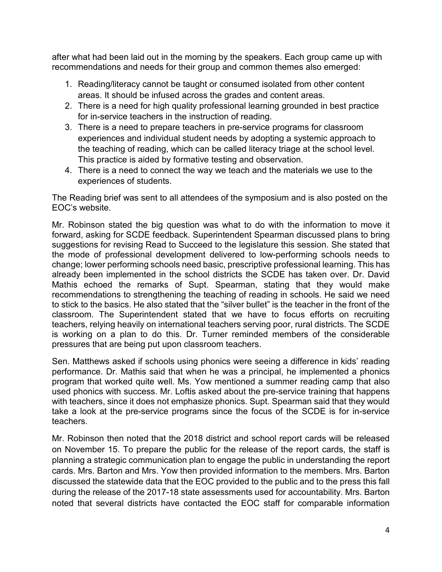after what had been laid out in the morning by the speakers. Each group came up with recommendations and needs for their group and common themes also emerged:

- 1. Reading/literacy cannot be taught or consumed isolated from other content areas. It should be infused across the grades and content areas.
- 2. There is a need for high quality professional learning grounded in best practice for in-service teachers in the instruction of reading.
- 3. There is a need to prepare teachers in pre-service programs for classroom experiences and individual student needs by adopting a systemic approach to the teaching of reading, which can be called literacy triage at the school level. This practice is aided by formative testing and observation.
- 4. There is a need to connect the way we teach and the materials we use to the experiences of students.

The Reading brief was sent to all attendees of the symposium and is also posted on the EOC's website.

Mr. Robinson stated the big question was what to do with the information to move it forward, asking for SCDE feedback. Superintendent Spearman discussed plans to bring suggestions for revising Read to Succeed to the legislature this session. She stated that the mode of professional development delivered to low-performing schools needs to change; lower performing schools need basic, prescriptive professional learning. This has already been implemented in the school districts the SCDE has taken over. Dr. David Mathis echoed the remarks of Supt. Spearman, stating that they would make recommendations to strengthening the teaching of reading in schools. He said we need to stick to the basics. He also stated that the "silver bullet" is the teacher in the front of the classroom. The Superintendent stated that we have to focus efforts on recruiting teachers, relying heavily on international teachers serving poor, rural districts. The SCDE is working on a plan to do this. Dr. Turner reminded members of the considerable pressures that are being put upon classroom teachers.

Sen. Matthews asked if schools using phonics were seeing a difference in kids' reading performance. Dr. Mathis said that when he was a principal, he implemented a phonics program that worked quite well. Ms. Yow mentioned a summer reading camp that also used phonics with success. Mr. Loftis asked about the pre-service training that happens with teachers, since it does not emphasize phonics. Supt. Spearman said that they would take a look at the pre-service programs since the focus of the SCDE is for in-service teachers.

Mr. Robinson then noted that the 2018 district and school report cards will be released on November 15. To prepare the public for the release of the report cards, the staff is planning a strategic communication plan to engage the public in understanding the report cards. Mrs. Barton and Mrs. Yow then provided information to the members. Mrs. Barton discussed the statewide data that the EOC provided to the public and to the press this fall during the release of the 2017-18 state assessments used for accountability. Mrs. Barton noted that several districts have contacted the EOC staff for comparable information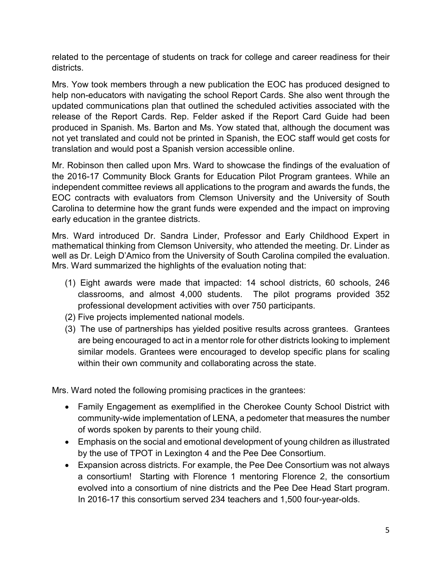related to the percentage of students on track for college and career readiness for their districts.

Mrs. Yow took members through a new publication the EOC has produced designed to help non-educators with navigating the school Report Cards. She also went through the updated communications plan that outlined the scheduled activities associated with the release of the Report Cards. Rep. Felder asked if the Report Card Guide had been produced in Spanish. Ms. Barton and Ms. Yow stated that, although the document was not yet translated and could not be printed in Spanish, the EOC staff would get costs for translation and would post a Spanish version accessible online.

Mr. Robinson then called upon Mrs. Ward to showcase the findings of the evaluation of the 2016-17 Community Block Grants for Education Pilot Program grantees. While an independent committee reviews all applications to the program and awards the funds, the EOC contracts with evaluators from Clemson University and the University of South Carolina to determine how the grant funds were expended and the impact on improving early education in the grantee districts.

Mrs. Ward introduced Dr. Sandra Linder, Professor and Early Childhood Expert in mathematical thinking from Clemson University, who attended the meeting. Dr. Linder as well as Dr. Leigh D'Amico from the University of South Carolina compiled the evaluation. Mrs. Ward summarized the highlights of the evaluation noting that:

- (1) Eight awards were made that impacted: 14 school districts, 60 schools, 246 classrooms, and almost 4,000 students. The pilot programs provided 352 professional development activities with over 750 participants.
- (2) Five projects implemented national models.
- (3) The use of partnerships has yielded positive results across grantees. Grantees are being encouraged to act in a mentor role for other districts looking to implement similar models. Grantees were encouraged to develop specific plans for scaling within their own community and collaborating across the state.

Mrs. Ward noted the following promising practices in the grantees:

- Family Engagement as exemplified in the Cherokee County School District with community-wide implementation of LENA, a pedometer that measures the number of words spoken by parents to their young child.
- Emphasis on the social and emotional development of young children as illustrated by the use of TPOT in Lexington 4 and the Pee Dee Consortium.
- Expansion across districts. For example, the Pee Dee Consortium was not always a consortium! Starting with Florence 1 mentoring Florence 2, the consortium evolved into a consortium of nine districts and the Pee Dee Head Start program. In 2016-17 this consortium served 234 teachers and 1,500 four-year-olds.